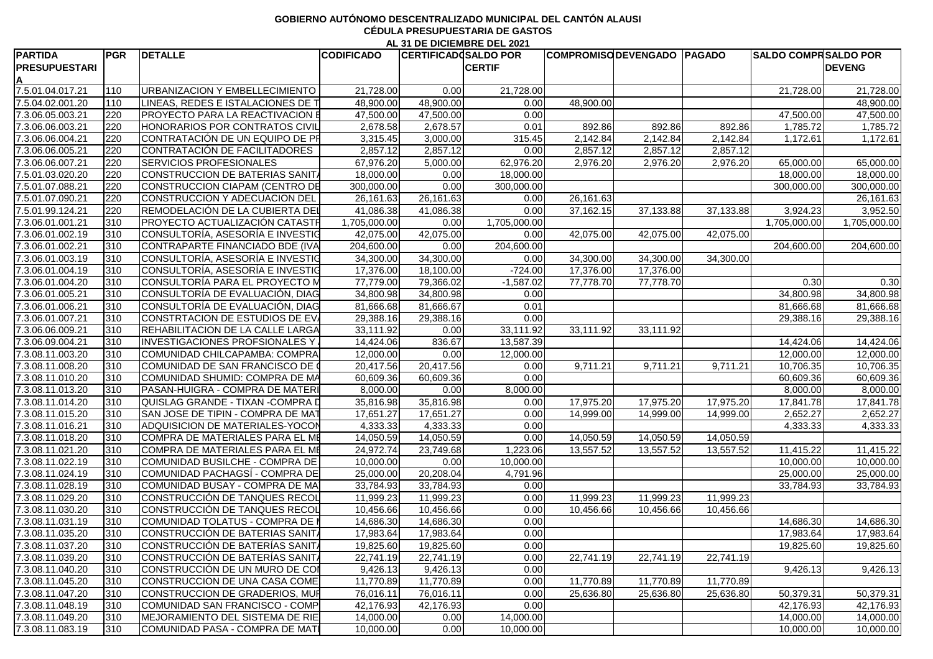## **GOBIERNO AUTÓNOMO DESCENTRALIZADO MUNICIPAL DEL CANTÓN ALAUSI CÉDULA PRESUPUESTARIA DE GASTOS AL 31 DE DICIEMBRE DEL 2021**

| <b>PARTIDA</b>       | <b>PGR</b>    | <b>DETALLE</b>                          | <b>CODIFICADO</b> | <b>CERTIFICAD SALDO POR</b> |               |           | <b>COMPROMISCIDEVENGADO   PAGADO</b> |           | <b>SALDO COMPRSALDO POR</b> |               |
|----------------------|---------------|-----------------------------------------|-------------------|-----------------------------|---------------|-----------|--------------------------------------|-----------|-----------------------------|---------------|
| <b>PRESUPUESTARI</b> |               |                                         |                   |                             | <b>CERTIF</b> |           |                                      |           |                             | <b>DEVENG</b> |
|                      |               |                                         |                   |                             |               |           |                                      |           |                             |               |
| 7.5.01.04.017.21     |               | <b>JRBANIZACION Y EMBELLECIMIENTO</b>   | 21,728.00         | 0.00                        | 21,728.00     |           |                                      |           | 21,728.00                   | 21,728.00     |
| 7.5.04.02.001.20     |               | LINEAS, REDES E ISTALACIONES DE         | 48,900.00         | 48,900.00                   | 0.00          | 48,900.00 |                                      |           |                             | 48,900.00     |
| 7.3.06.05.003.21     | 1220          | <b>PROYECTO PARA LA REACTIVACION E</b>  | 47,500.00         | 47,500.00                   | 0.00          |           |                                      |           | 47,500.00                   | 47,500.00     |
| 7.3.06.06.003.21     |               | HONORARIOS POR CONTRATOS CIVIL          | 2,678.58          | 2,678.57                    | 0.01          | 892.86    | 892.86                               | 892.86    | 1,785.72                    | 1,785.72      |
| 7.3.06.06.004.21     |               | CONTRATACIÓN DE UN EQUIPO DE PF         | 3,315.45          | 3,000.00                    | 315.45        | 2,142.84  | 2,142.84                             | 2,142.84  | 1,172.61                    | 1,172.61      |
| 7.3.06.06.005.21     |               | CONTRATACIÓN DE FACILITADORES           | 2,857.12          | 2,857.12                    | -0.00         | 2,857.12  | 2,857.12                             | 2,857.12  |                             |               |
| 7.3.06.06.007.21     |               | <b>SERVICIOS PROFESIONALES</b>          | 67,976.20         | 5,000.00                    | 62,976.20     | 2,976.20  | 2,976.20                             | 2,976.20  | 65,000.00                   | 65,000.00     |
| 7.5.01.03.020.20     |               | CONSTRUCCION DE BATERIAS SANIT.         | 18,000.00         | 0.00                        | 18,000.00     |           |                                      |           | 18,000.00                   | 18,000.00     |
| 7.5.01.07.088.21     |               | CONSTRUCCION CIAPAM (CENTRO DE          | 300,000.00        | 0.00                        | 300,000.0     |           |                                      |           | 300,000.00                  | 300,000.00    |
| 7.5.01.07.090.21     |               | CONSTRUCCION Y ADECUACION DEL           | 26,161.6          | 26,161.63                   | 0.00          | 26,161.63 |                                      |           |                             | 26,161.63     |
| 7.5.01.99.124.21     |               | REMODELACIÓN DE LA CUBIERTA DEL         | 41,086.38         | 41,086.38                   | 0.00          | 37,162.15 | 37,133.88                            | 37,133.88 | 3,924.23                    | 3,952.50      |
| 7.3.06.01.001.21     |               | <b>PROYECTO ACTUALIZACIÓN CATASTR</b>   | 1,705,000.00      | 0.00                        | 1,705,000.00  |           |                                      |           | 1,705,000.00                | 1,705,000.00  |
| 7.3.06.01.002.19     | 1310          | CONSULTORÍA, ASESORÍA E INVESTIO        | 42,075.00         | 42,075.00                   | 0.00          | 42,075.00 | 42,075.00                            | 42,075.00 |                             |               |
| 7.3.06.01.002.21     | 1310          | CONTRAPARTE FINANCIADO BDE (IVA         | 204,600.00        | 0.00                        | 204,600.0     |           |                                      |           | 204,600.00                  | 204,600.00    |
| 7.3.06.01.003.19     | <b>1310</b>   | CONSULTORÍA, ASESORÍA E INVESTIG        | 34,300.00         | 34,300.00                   | 0.00          | 34,300.00 | 34,300.00                            | 34,300.00 |                             |               |
| 7.3.06.01.004.19     |               | CONSULTORÍA, ASESORÍA E INVESTIO        | 17,376.00         | 18,100.00                   | $-724.00$     | 17,376.00 | 17,376.00                            |           |                             |               |
| 7.3.06.01.004.20     |               | CONSULTORÍA PARA EL PROYECTO M          | 77,779.00         | 79,366.02                   | $-1,587.0$    | 77,778.70 | 77,778.70                            |           | 0.30                        | 0.30          |
| 7.3.06.01.005.21     |               | CONSULTORÍA DE EVALUACIÓN, DIAC         | 34,800.9          | 34,800.98                   | 0.00          |           |                                      |           | 34,800.98                   | 34,800.98     |
| 7.3.06.01.006.21     |               | CONSULTORÍA DE EVALUACIÓN, DIAG         | 81,666.6          | 81,666.67                   |               |           |                                      |           | 81,666.68                   | 81,666.68     |
|                      |               |                                         |                   |                             | 0.01<br>0.00  |           |                                      |           |                             |               |
| 7.3.06.01.007.21     |               | CONSTRTACION DE ESTUDIOS DE EV          | 29,388.1          | 29,388.16                   |               |           |                                      |           | 29,388.16                   | 29,388.1      |
| 7.3.06.06.009.21     |               | <b>REHABILITACION DE LA CALLE LARGA</b> | 33,111.92         | 0.00                        | 33,111.92     | 33,111.92 | 33,111.92                            |           |                             |               |
| 7.3.06.09.004.21     |               | <b>INVESTIGACIONES PROFSIONALES Y</b>   | 14,424.06         | 836.67                      | 13,587.3      |           |                                      |           | 14,424.06                   | 14,424.0      |
| 7.3.08.11.003.20     | 1310          | COMUNIDAD CHILCAPAMBA: COMPRA           | 12,000.00         | 0.00                        | 12,000.00     |           |                                      |           | 12,000.00                   | 12,000.00     |
| 7.3.08.11.008.20     | 1310          | COMUNIDAD DE SAN FRANCISCO DE           | 20,417.56         | 20,417.56                   | 0.00          | 9,711.21  | 9,711.21                             | 9,711.2   | 10,706.35                   | 10,706.35     |
| 7.3.08.11.010.20     |               | COMUNIDAD SHUMID: COMPRA DE MA          | 60,609.36         | 60,609.36                   | 0.00          |           |                                      |           | 60,609.36                   | 60,609.3      |
| 7.3.08.11.013.20     | 1310          | <b>PASAN-HUIGRA - COMPRA DE MATER</b>   | 8,000.00          | 0.00                        | 8,000.00      |           |                                      |           | 8,000.00                    | 8,000.00      |
| 7.3.08.11.014.20     |               | QUISLAG GRANDE - TIXAN - COMPRA D       | 35,816.98         | 35,816.98                   | 0.00          | 17,975.20 | 17,975.20                            | 17,975.20 | 17,841.78                   | 17,841.78     |
| 7.3.08.11.015.20     |               | SAN JOSE DE TIPIN - COMPRA DE MAT       | 17,651.2          | 17,651.27                   | 0.00          | 14,999.00 | 14,999.00                            | 14,999.0  | 2,652.27                    | 2,652.27      |
| 7.3.08.11.016.21     |               | ADQUISICION DE MATERIALES-YOCO          | 4,333.33          | 4,333.33                    | 0.00          |           |                                      |           | 4,333.33                    | 4,333.3       |
| 7.3.08.11.018.20     |               | COMPRA DE MATERIALES PARA EL MI         | 14,050.59         | 14,050.59                   | 0.00          | 14,050.59 | 14,050.59                            | 14,050.59 |                             |               |
| 7.3.08.11.021.20     |               | COMPRA DE MATERIALES PARA EL M          | 24,972.74         | 23,749.68                   | 1,223.0       | 13,557.52 | 13,557.52                            | 13,557.52 | 11,415.22                   | 11,415.22     |
| 7.3.08.11.022.19     |               | COMUNIDAD BUSILCHE - COMPRA DE          | 10,000.00         | 0.00                        | 10,000.00     |           |                                      |           | 10,000.00                   | 10,000.00     |
| 7.3.08.11.024.19 310 |               | COMUNIDAD PACHAGSÍ - COMPRA DE          | 25,000.00         | 20,208.04                   | 4,791.96      |           |                                      |           | 25,000.00                   | 25,000.00     |
| 7.3.08.11.028.19     | $ 310\rangle$ | COMUNIDAD BUSAY - COMPRA DE MA          | 33,784.93         | 33,784.93                   | 0.00          |           |                                      |           | 33,784.93                   | 33,784.93     |
| 7.3.08.11.029.20     | 310           | CONSTRUCCIÓN DE TANQUES RECOL           | 11,999.23         | 11,999.23                   | 0.00          | 11,999.23 | 11,999.23                            | 11,999.23 |                             |               |
| 7.3.08.11.030.20     | 310           | CONSTRUCCIÓN DE TANQUES RECOL           | 10,456.66         | 10,456.66                   | 0.00          | 10,456.66 | 10,456.66                            | 10,456.66 |                             |               |
| 7.3.08.11.031.19     | 310           | COMUNIDAD TOLATUS - COMPRA DE I         | 14,686.30         | 14,686.30                   | 0.00          |           |                                      |           | 14,686.30                   | 14,686.30     |
| 7.3.08.11.035.20     |               | CONSTRUCCIÓN DE BATERIAS SANITA         | 17,983.64         | 17,983.64                   | 0.00          |           |                                      |           | 17,983.64                   | 17,983.64     |
| 7.3.08.11.037.20     |               | CONSTRUCCIÓN DE BATERÍAS SANITA         | 19,825.60         | 19,825.60                   | 0.00          |           |                                      |           | 19,825.60                   | 19,825.60     |
|                      |               |                                         |                   | 22,741.19                   |               |           |                                      | 22,741.19 |                             |               |
| 7.3.08.11.039.20     | 1310          | CONSTRUCCIÓN DE BATERÍAS SANITA         | 22,741.19         |                             | 0.00          | 22,741.19 | 22,741.19                            |           |                             |               |
| 7.3.08.11.040.20     |               | CONSTRUCCIÓN DE UN MURO DE COI          | 9,426.13          | 9,426.13                    | 0.00          |           |                                      |           | 9,426.13                    | 9,426.13      |
| 7.3.08.11.045.20     |               | CONSTRUCCION DE UNA CASA COME           | 11,770.89         | 11,770.89                   | 0.00          | 11,770.89 | 11,770.89                            | 11,770.89 |                             |               |
| 7.3.08.11.047.20     | 310           | CONSTRUCCION DE GRADERIOS, MUR          | 76,016.11         | 76,016.11                   | 0.00          | 25,636.80 | 25,636.80                            | 25,636.80 | 50,379.31                   | 50,379.31     |
| 7.3.08.11.048.19     | 310           | COMUNIDAD SAN FRANCISCO - COMP          | 42,176.93         | 42,176.93                   | 0.00          |           |                                      |           | 42,176.93                   | 42,176.93     |
| 7.3.08.11.049.20     | $ 310\rangle$ | MEJORAMIENTO DEL SISTEMA DE RIE         | 14,000.00         | 0.00                        | 14,000.00     |           |                                      |           | 14,000.00                   | 14,000.00     |
| 7.3.08.11.083.19 310 |               | COMUNIDAD PASA - COMPRA DE MATI         | 10,000.00         | 0.00                        | 10,000.00     |           |                                      |           | 10,000.00                   | 10,000.00     |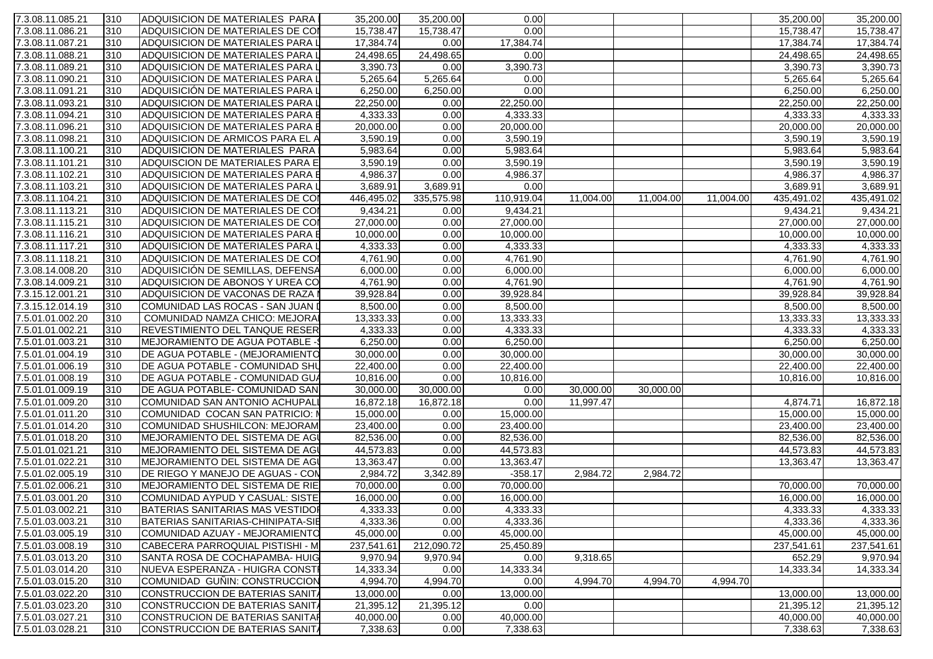| 7.3.08.11.085.21 | 310           | ADQUISICION DE MATERIALES PARA          | 35,200.00  | 35,200.00  | 0.00       |           |           |           | 35,200.00  | 35,200.00  |
|------------------|---------------|-----------------------------------------|------------|------------|------------|-----------|-----------|-----------|------------|------------|
| 7.3.08.11.086.21 | 310           | ADQUISICION DE MATERIALES DE COI        | 15,738.47  | 15,738.47  | 0.00       |           |           |           | 15,738.47  | 15,738.47  |
| 7.3.08.11.087.21 | 310           | <b>ADQUISICION DE MATERIALES PARA L</b> | 17,384.74  | 0.00       | 17,384.74  |           |           |           | 17,384.74  | 17,384.74  |
| 7.3.08.11.088.21 | 310           | ADQUISICION DE MATERIALES PARA L        | 24,498.65  | 24,498.65  | 0.00       |           |           |           | 24,498.65  | 24,498.65  |
| 7.3.08.11.089.21 | 310           | ADQUISICION DE MATERIALES PARA L        | 3,390.73   | 0.00       | 3,390.73   |           |           |           | 3,390.73   | 3,390.73   |
| 7.3.08.11.090.21 | 310           | ADQUISICION DE MATERIALES PARA L        | 5,265.64   | 5,265.64   | 0.00       |           |           |           | 5,265.64   | 5,265.64   |
| 7.3.08.11.091.21 | 310           | ADQUISICIÓN DE MATERIALES PARA L        | 6,250.00   | 6,250.00   | 0.00       |           |           |           | 6,250.00   | 6,250.00   |
| 7.3.08.11.093.21 | 310           | ADQUISICION DE MATERIALES PARA L        | 22,250.00  | 0.00       | 22,250.00  |           |           |           | 22,250.00  | 22,250.00  |
| 7.3.08.11.094.21 | 310           | ADQUISICION DE MATERIALES PARA E        | 4,333.33   | 0.00       | 4,333.33   |           |           |           | 4,333.33   | 4,333.33   |
| 7.3.08.11.096.21 | 310           | ADQUISICION DE MATERIALES PARA E        | 20,000.00  | 0.00       | 20,000.00  |           |           |           | 20,000.00  | 20,000.00  |
| 7.3.08.11.098.21 | 310           | ADQUISICION DE ARMICOS PARA EL A        | 3,590.19   | 0.00       | 3,590.19   |           |           |           | 3,590.19   | 3,590.19   |
| 7.3.08.11.100.21 | 310           | ADQUISICION DE MATERIALES PARA          | 5,983.64   | 0.00       | 5,983.64   |           |           |           | 5,983.64   | 5,983.64   |
| 7.3.08.11.101.21 | 310           | ADQUISCION DE MATERIALES PARA E         | 3,590.19   | 0.00       | 3,590.19   |           |           |           | 3,590.19   | 3,590.19   |
| 7.3.08.11.102.21 | 310           | ADQUISICION DE MATERIALES PARA E        | 4,986.37   | 0.00       | 4,986.37   |           |           |           | 4,986.37   | 4,986.37   |
| 7.3.08.11.103.21 | 310           | ADQUISICION DE MATERIALES PARA L        | 3,689.91   | 3,689.91   | 0.00       |           |           |           | 3,689.91   | 3,689.91   |
| 7.3.08.11.104.21 | 310           | ADQUISICION DE MATERIALES DE COI        | 446,495.02 | 335,575.98 | 110,919.04 | 11,004.00 | 11,004.00 | 11,004.00 | 435,491.02 | 435,491.02 |
| 7.3.08.11.113.21 | 310           | ADQUISICION DE MATERIALES DE CON        | 9,434.21   | 0.00       | 9,434.21   |           |           |           | 9,434.21   | 9,434.21   |
| 7.3.08.11.115.21 | 310           | ADQUISICION DE MATERIALES DE COI        | 27,000.00  | 0.00       | 27,000.00  |           |           |           | 27,000.00  | 27,000.00  |
| 7.3.08.11.116.21 | 310           | ADQUISICION DE MATERIALES PARA E        | 10,000.00  | 0.00       | 10,000.00  |           |           |           | 10,000.00  | 10,000.00  |
| 7.3.08.11.117.21 | 310           | ADQUISICION DE MATERIALES PARA L        | 4,333.33   | 0.00       | 4,333.33   |           |           |           | 4,333.33   | 4,333.33   |
| 7.3.08.11.118.21 | 310           | ADQUISICION DE MATERIALES DE COI        | 4,761.90   | 0.00       | 4,761.90   |           |           |           | 4,761.90   | 4,761.90   |
| 7.3.08.14.008.20 | 310           | ADQUISICIÓN DE SEMILLAS, DEFENSA        | 6,000.00   | 0.00       | 6,000.00   |           |           |           | 6,000.00   | 6,000.00   |
| 7.3.08.14.009.21 | 310           | ADQUISICION DE ABONOS Y UREA CO         | 4,761.90   | 0.00       | 4,761.90   |           |           |           | 4,761.90   | 4,761.90   |
| 7.3.15.12.001.21 | 310           | ADQUISICION DE VACONAS DE RAZA          | 39,928.84  | 0.00       | 39,928.84  |           |           |           | 39,928.84  | 39,928.84  |
| 7.3.15.12.014.19 | 310           | COMUNIDAD LAS ROCAS - SAN JUAN I        | 8,500.00   | 0.00       | 8,500.00   |           |           |           | 8,500.00   | 8,500.00   |
| 7.5.01.01.002.20 | 310           | COMUNIDAD NAMZA CHICO: MEJORAI          | 13,333.33  | 0.00       | 13,333.33  |           |           |           | 13,333.33  | 13,333.33  |
| 7.5.01.01.002.21 | 310           | <b>REVESTIMIENTO DEL TANQUE RESER</b>   | 4,333.33   | 0.00       | 4,333.33   |           |           |           | 4,333.33   | 4,333.33   |
| 7.5.01.01.003.21 | 310           | MEJORAMIENTO DE AGUA POTABLE -          | 6,250.00   | 0.00       | 6,250.00   |           |           |           | 6,250.00   | 6,250.00   |
| 7.5.01.01.004.19 | 310           | DE AGUA POTABLE - (MEJORAMIENTO         | 30,000.00  | 0.00       | 30,000.00  |           |           |           | 30,000.00  | 30,000.00  |
| 7.5.01.01.006.19 | 310           | DE AGUA POTABLE - COMUNIDAD SHU         | 22,400.00  | 0.00       | 22,400.00  |           |           |           | 22,400.00  | 22,400.00  |
| 7.5.01.01.008.19 | 310           | DE AGUA POTABLE - COMUNIDAD GUA         | 10,816.00  | 0.00       | 10,816.00  |           |           |           | 10,816.00  | 10,816.00  |
| 7.5.01.01.009.19 | 310           | DE AGUA POTABLE- COMUNIDAD SAN          | 30,000.00  | 30,000.00  | 0.00       | 30,000.00 | 30,000.00 |           |            |            |
| 7.5.01.01.009.20 | 310           | COMUNIDAD SAN ANTONIO ACHUPALI          | 16,872.18  | 16,872.18  | 0.00       | 11,997.47 |           |           | 4,874.71   | 16,872.18  |
| 7.5.01.01.011.20 | 310           | COMUNIDAD COCAN SAN PATRICIO: I         | 15,000.00  | 0.00       | 15,000.00  |           |           |           | 15,000.00  | 15,000.00  |
| 7.5.01.01.014.20 | 310           | COMUNIDAD SHUSHILCON: MEJORAM           | 23,400.00  | 0.00       | 23,400.00  |           |           |           | 23,400.00  | 23,400.00  |
| 7.5.01.01.018.20 | $ 310\rangle$ | MEJORAMIENTO DEL SISTEMA DE AGI         | 82,536.00  | n ool      | 82,536.00  |           |           |           | 82,536.00  | 82,536.00  |
| 7.5.01.01.021.21 | 310           | MEJORAMIENTO DEL SISTEMA DE AGI         | 44,573.83  | 0.00       | 44,573.83  |           |           |           | 44,573.83  | 44,573.83  |
| 7.5.01.01.022.21 | 310           | MEJORAMIENTO DEL SISTEMA DE AGI         | 13,363.47  | 0.00       | 13,363.47  |           |           |           | 13,363.47  | 13,363.47  |
| 7.5.01.02.005.19 | 310           | DE RIEGO Y MANEJO DE AGUAS - CON        | 2,984.72   | 3,342.89   | $-358.17$  | 2,984.72  | 2,984.72  |           |            |            |
| 7.5.01.02.006.21 | 310           | MEJORAMIENTO DEL SISTEMA DE RIE         | 70,000.00  | 0.00       | 70,000.00  |           |           |           | 70,000.00  | 70,000.00  |
| 7.5.01.03.001.20 | 310           | COMUNIDAD AYPUD Y CASUAL: SISTE         | 16,000.00  | 0.00       | 16,000.00  |           |           |           | 16,000.00  | 16,000.00  |
| 7.5.01.03.002.21 | 310           | BATERIAS SANITARIAS MAS VESTIDOR        | 4,333.33   | 0.00       | 4,333.33   |           |           |           | 4,333.33   | 4,333.33   |
| 7.5.01.03.003.21 | 310           | BATERIAS SANITARIAS-CHINIPATA-SIE       | 4,333.36   | 0.00       | 4,333.36   |           |           |           | 4,333.36   | 4,333.36   |
| 7.5.01.03.005.19 | 310           | COMUNIDAD AZUAY - MEJORAMIENTO          | 45,000.00  | 0.00       | 45,000.00  |           |           |           | 45,000.00  | 45,000.00  |
| 7.5.01.03.008.19 | 310           | CABECERA PARROQUIAL PISTISHI - M        | 237,541.61 | 212,090.72 | 25,450.89  |           |           |           | 237,541.61 | 237,541.61 |
| 7.5.01.03.013.20 | 310           | SANTA ROSA DE COCHAPAMBA- HUIG          | 9,970.94   | 9,970.94   | 0.00       | 9,318.65  |           |           | 652.29     | 9,970.94   |
| 7.5.01.03.014.20 | 310           | NUEVA ESPERANZA - HUIGRA CONSTI         | 14,333.34  | 0.00       | 14,333.34  |           |           |           | 14,333.34  | 14,333.34  |
| 7.5.01.03.015.20 | 310           | COMUNIDAD GUÑIN: CONSTRUCCION           | 4,994.70   | 4,994.70   | 0.00       | 4,994.70  | 4,994.70  | 4,994.70  |            |            |
| 7.5.01.03.022.20 | 310           | CONSTRUCCION DE BATERIAS SANITA         | 13,000.00  | 0.00       | 13,000.00  |           |           |           | 13,000.00  | 13,000.00  |
| 7.5.01.03.023.20 | 310           | CONSTRUCCION DE BATERIAS SANITA         | 21,395.12  | 21,395.12  | 0.00       |           |           |           | 21,395.12  | 21,395.12  |
| 7.5.01.03.027.21 | 310           | CONSTRUCION DE BATERIAS SANITAR         | 40,000.00  | 0.00       | 40,000.00  |           |           |           | 40,000.00  | 40,000.00  |
| 7.5.01.03.028.21 | 310           | CONSTRUCCION DE BATERIAS SANIT          | 7,338.63   | 0.00       | 7,338.63   |           |           |           | 7,338.63   | 7,338.63   |
|                  |               |                                         |            |            |            |           |           |           |            |            |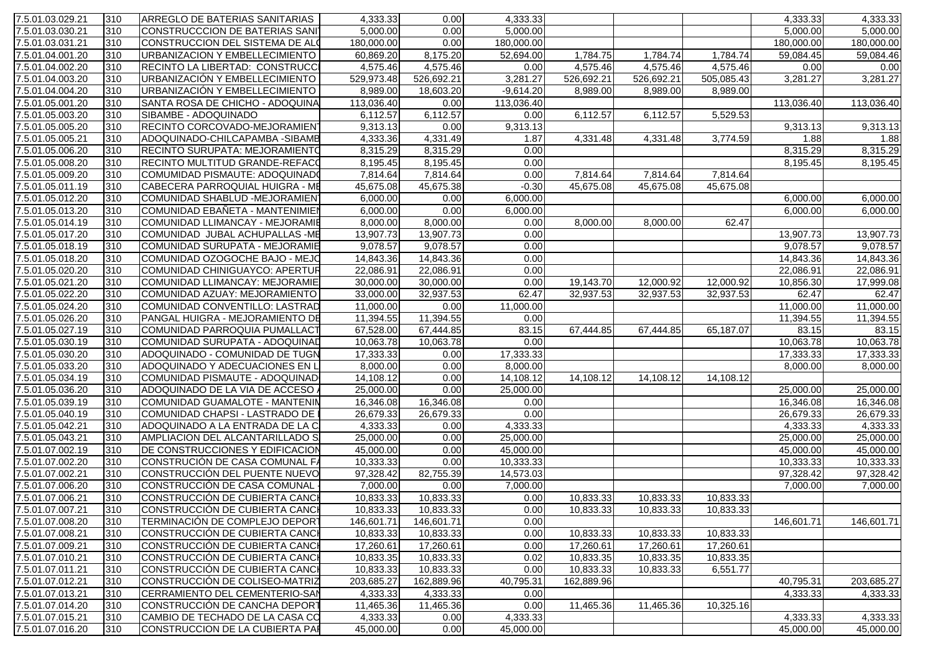| 7.5.01.03.029.21 | 310 | <b>ARREGLO DE BATERIAS SANITARIAS</b> | 4,333.33   | 0.00       | 4,333.33    |            |            |            | 4,333.33   | 4,333.33   |
|------------------|-----|---------------------------------------|------------|------------|-------------|------------|------------|------------|------------|------------|
| 7.5.01.03.030.21 | 310 | CONSTRUCCCION DE BATERIAS SANI        | 5,000.00   | 0.00       | 5,000.00    |            |            |            | 5,000.00   | 5,000.00   |
| 7.5.01.03.031.21 | 310 | CONSTRUCCION DEL SISTEMA DE ALO       | 180,000.00 | 0.00       | 180,000.00  |            |            |            | 180,000.00 | 180,000.00 |
| 7.5.01.04.001.20 | 310 | URBANIZACION Y EMBELLECIMIENTO        | 60,869.20  | 8,175.20   | 52,694.00   | 1,784.75   | 1,784.74   | 1,784.74   | 59,084.45  | 59,084.46  |
| 7.5.01.04.002.20 | 310 | RECINTO LA LIBERTAD: CONSTRUCCI       | 4,575.46   | 4,575.46   | 0.00        | 4,575.46   | 4,575.46   | 4,575.46   | 0.00       | 0.00       |
| 7.5.01.04.003.20 | 310 | URBANIZACIÓN Y EMBELLECIMIENTO        | 529,973.48 | 526,692.21 | 3,281.27    | 526,692.21 | 526,692.21 | 505,085.43 | 3,281.27   | 3,281.27   |
| 7.5.01.04.004.20 | 310 | URBANIZACIÓN Y EMBELLECIMIENTO        | 8,989.00   | 18,603.20  | $-9,614.20$ | 8,989.00   | 8,989.00   | 8,989.00   |            |            |
| 7.5.01.05.001.20 | 310 | SANTA ROSA DE CHICHO - ADOQUINA       | 113,036.40 | 0.00       | 113,036.40  |            |            |            | 113,036.40 | 113,036.40 |
| 7.5.01.05.003.20 | 310 | SIBAMBE - ADOQUINADO                  | 6,112.57   | 6,112.57   | 0.00        | 6,112.57   | 6,112.57   | 5,529.53   |            |            |
| 7.5.01.05.005.20 | 310 | RECINTO CORCOVADO-MEJORAMIENT         | 9,313.13   | 0.00       | 9,313.13    |            |            |            | 9,313.13   | 9,313.13   |
| 7.5.01.05.005.21 | 310 | ADOQUINADO-CHILCAPAMBA - SIBAMB       | 4,333.36   | 4,331.49   | 1.87        | 4,331.48   | 4,331.48   | 3,774.59   | 1.88       | 1.88       |
| 7.5.01.05.006.20 | 310 | <b>RECINTO SURUPATA: MEJORAMIENTO</b> | 8,315.29   | 8,315.29   | 0.00        |            |            |            | 8,315.29   | 8,315.29   |
| 7.5.01.05.008.20 | 310 | <b>RECINTO MULTITUD GRANDE-REFACO</b> | 8,195.45   | 8,195.45   | 0.00        |            |            |            | 8,195.45   | 8,195.45   |
| 7.5.01.05.009.20 | 310 | COMUMIDAD PISMAUTE: ADOQUINADO        | 7,814.64   | 7,814.64   | 0.00        | 7,814.64   | 7,814.64   | 7,814.64   |            |            |
| 7.5.01.05.011.19 | 310 | CABECERA PARROQUIAL HUIGRA - ME       | 45,675.08  | 45,675.38  | $-0.30$     | 45,675.08  | 45,675.08  | 45,675.08  |            |            |
| 7.5.01.05.012.20 | 310 | COMUNIDAD SHABLUD -MEJORAMIEN         | 6,000.00   | 0.00       | 6,000.00    |            |            |            | 6,000.00   | 6,000.00   |
| 7.5.01.05.013.20 | 310 | COMUNIDAD EBAÑETA - MANTENIMIEN       | 6,000.00   | 0.00       | 6,000.00    |            |            |            | 6,000.00   | 6,000.00   |
| 7.5.01.05.014.19 | 310 | COMUNIDAD LLIMANCAY - MEJORAMIE       | 8,000.00   | 8,000.00   | 0.00        | 8,000.00   | 8,000.00   | 62.47      |            |            |
| 7.5.01.05.017.20 | 310 | COMUNIDAD JUBAL ACHUPALLAS -ME        | 13,907.73  | 13,907.73  | 0.00        |            |            |            | 13,907.73  | 13,907.73  |
| 7.5.01.05.018.19 | 310 | COMUNIDAD SURUPATA - MEJORAMIE        | 9,078.57   | 9,078.57   | 0.00        |            |            |            | 9,078.57   | 9,078.57   |
| 7.5.01.05.018.20 | 310 | COMUNIDAD OZOGOCHE BAJO - MEJO        | 14,843.36  | 14,843.36  | 0.00        |            |            |            | 14,843.36  | 14,843.36  |
| 7.5.01.05.020.20 | 310 | COMUNIDAD CHINIGUAYCO: APERTUR        | 22,086.91  | 22,086.91  | 0.00        |            |            |            | 22,086.91  | 22,086.91  |
| 7.5.01.05.021.20 | 310 | COMUNIDAD LLIMANCAY: MEJORAMIE        | 30,000.00  | 30,000.00  | 0.00        | 19,143.70  | 12,000.92  | 12,000.92  | 10,856.30  | 17,999.08  |
| 7.5.01.05.022.20 | 310 | COMUNIDAD AZUAY: MEJORAMIENTO         | 33,000.00  | 32,937.53  | 62.47       | 32,937.53  | 32,937.53  | 32,937.53  | 62.47      | 62.47      |
| 7.5.01.05.024.20 | 310 | COMUNIDAD CONVENTILLO: LASTRAD        | 11,000.00  | 0.00       | 11,000.00   |            |            |            | 11,000.00  | 11,000.00  |
| 7.5.01.05.026.20 | 310 | PANGAL HUIGRA - MEJORAMIENTO DE       | 11,394.55  | 11,394.55  | 0.00        |            |            |            | 11,394.55  | 11,394.55  |
| 7.5.01.05.027.19 | 310 | COMUNIDAD PARROQUIA PUMALLACT         | 67,528.00  | 67,444.85  | 83.15       | 67,444.85  | 67,444.85  | 65,187.07  | 83.15      | 83.15      |
| 7.5.01.05.030.19 | 310 | COMUNIDAD SURUPATA - ADOQUINAD        | 10,063.78  | 10,063.78  | 0.00        |            |            |            | 10,063.78  | 10,063.78  |
| 7.5.01.05.030.20 | 310 | ADOQUINADO - COMUNIDAD DE TUGN        | 17,333.33  | 0.00       | 17,333.33   |            |            |            | 17,333.33  | 17,333.33  |
| 7.5.01.05.033.20 | 310 | ADOQUINADO Y ADECUACIONES EN L        | 8,000.00   | 0.00       | 8,000.00    |            |            |            | 8,000.00   | 8,000.00   |
| 7.5.01.05.034.19 | 310 | COMUNIDAD PISMAUTE - ADOQUINAD        | 14,108.12  | 0.00       | 14,108.12   | 14,108.12  | 14,108.12  | 14,108.12  |            |            |
| 7.5.01.05.036.20 | 310 | ADOQUINADO DE LA VIA DE ACCESO        | 25,000.00  | 0.00       | 25,000.00   |            |            |            | 25,000.00  | 25,000.00  |
| 7.5.01.05.039.19 | 310 | <b>COMUNIDAD GUAMALOTE - MANTENIN</b> | 16,346.08  | 16,346.08  | 0.00        |            |            |            | 16,346.08  | 16,346.08  |
| 7.5.01.05.040.19 | 310 | COMUNIDAD CHAPSI - LASTRADO DE        | 26,679.33  | 26,679.33  | 0.00        |            |            |            | 26,679.33  | 26,679.33  |
| 7.5.01.05.042.21 | 310 | ADOQUINADO A LA ENTRADA DE LA C       | 4,333.33   | 0.00       | 4,333.33    |            |            |            | 4,333.33   | 4,333.33   |
| 7.5.01.05.043.21 | 310 | AMPLIACION DEL ALCANTARILLADO S       | 25,000.00  | 0.00       | 25,000.00   |            |            |            | 25,000.00  | 25,000.00  |
| 7.5.01.07.002.19 | 310 | DE CONSTRUCCIONES Y EDIFICACION       | 45,000.00  | 0.00       | 45,000.00   |            |            |            | 45,000.00  | 45,000.00  |
| 7.5.01.07.002.20 | 310 | CONSTRUCIÓN DE CASA COMUNAL FA        | 10,333.33  | 0.00       | 10,333.33   |            |            |            | 10,333.33  | 10,333.33  |
| 7.5.01.07.002.21 | 310 | CONSTRUCCIÓN DEL PUENTE NUEVO         | 97,328.42  | 82,755.39  | 14,573.03   |            |            |            | 97,328.42  | 97,328.42  |
| 7.5.01.07.006.20 | 310 | CONSTRUCCIÓN DE CASA COMUNAL          | 7,000.00   | 0.00       | 7,000.00    |            |            |            | 7,000.00   | 7,000.00   |
| 7.5.01.07.006.21 | 310 | CONSTRUCCIÓN DE CUBIERTA CANCH        | 10,833.33  | 10,833.33  | 0.00        | 10,833.33  | 10,833.33  | 10,833.33  |            |            |
| 7.5.01.07.007.21 | 310 | CONSTRUCCIÓN DE CUBIERTA CANCH        | 10,833.33  | 10,833.33  | 0.00        | 10,833.33  | 10,833.33  | 10,833.33  |            |            |
| 7.5.01.07.008.20 | 310 | TERMINACIÓN DE COMPLEJO DEPORT        | 146,601.71 | 146,601.71 | 0.00        |            |            |            | 146,601.71 | 146,601.71 |
| 7.5.01.07.008.21 | 310 | CONSTRUCCIÓN DE CUBIERTA CANCH        | 10,833.33  | 10,833.33  | 0.00        | 10,833.33  | 10,833.33  | 10,833.33  |            |            |
| 7.5.01.07.009.21 | 310 | CONSTRUCCIÓN DE CUBIERTA CANCH        | 17,260.61  | 17,260.61  | 0.00        | 17,260.61  | 17,260.61  | 17,260.61  |            |            |
| 7.5.01.07.010.21 | 310 | CONSTRUCCIÓN DE CUBIERTA CANCH        | 10,833.35  | 10,833.33  | 0.02        | 10,833.35  | 10,833.35  | 10,833.35  |            |            |
| 7.5.01.07.011.21 | 310 | CONSTRUCCIÓN DE CUBIERTA CANCH        | 10,833.33  | 10,833.33  | 0.00        | 10,833.33  | 10,833.33  | 6,551.77   |            |            |
| 7.5.01.07.012.21 | 310 | CONSTRUCCIÓN DE COLISEO-MATRIZ        | 203,685.27 | 162,889.96 | 40,795.31   | 162,889.96 |            |            | 40,795.31  | 203,685.27 |
| 7.5.01.07.013.21 | 310 | CERRAMIENTO DEL CEMENTERIO-SAN        | 4,333.33   | 4,333.33   | 0.00        |            |            |            | 4,333.33   | 4,333.33   |
| 7.5.01.07.014.20 | 310 | CONSTRUCCIÓN DE CANCHA DEPORT         | 11,465.36  | 11,465.36  | 0.00        | 11,465.36  | 11,465.36  | 10,325.16  |            |            |
| 7.5.01.07.015.21 | 310 | CAMBIO DE TECHADO DE LA CASA CO       | 4,333.33   | 0.00       | 4,333.33    |            |            |            | 4,333.33   | 4,333.33   |
| 7.5.01.07.016.20 | 310 | CONSTRUCCION DE LA CUBIERTA PAR       | 45,000.00  | 0.00       | 45,000.00   |            |            |            | 45,000.00  | 45,000.00  |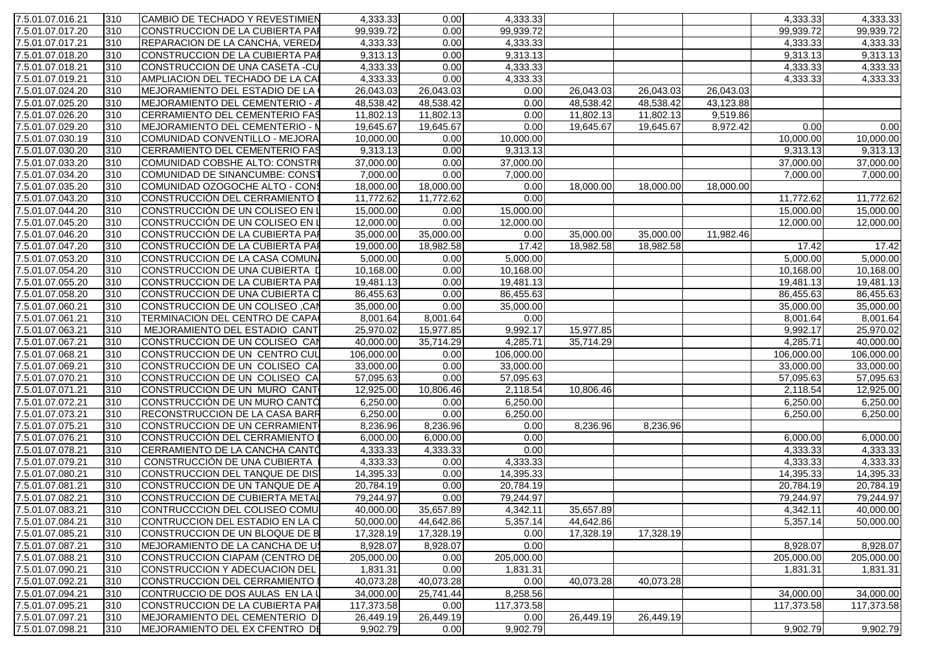| 7.5.01.07.016.21                     | 310        | CAMBIO DE TECHADO Y REVESTIMIEN                                | 4,333.33               | 0.00         | 4,333.33              |           |           |           | 4,333.33               | 4,333.33              |
|--------------------------------------|------------|----------------------------------------------------------------|------------------------|--------------|-----------------------|-----------|-----------|-----------|------------------------|-----------------------|
| 7.5.01.07.017.20                     | 310        | CONSTRUCCION DE LA CUBIERTA PAR                                | 99,939.72              | 0.00         | 99,939.72             |           |           |           | 99,939.72              | 99,939.72             |
| 7.5.01.07.017.21                     | 310        | <b>REPARACION DE LA CANCHA, VEREDA</b>                         | 4,333.33               | 0.00         | 4,333.33              |           |           |           | 4,333.33               | 4,333.33              |
| 7.5.01.07.018.20                     | 310        | CONSTRUCCION DE LA CUBIERTA PAR                                | 9,313.13               | 0.00         | 9,313.13              |           |           |           | 9,313.13               | 9,313.13              |
| 7.5.01.07.018.21                     | 310        | CONSTRUCCION DE UNA CASETA -CU                                 | 4,333.33               | 0.00         | 4,333.33              |           |           |           | 4,333.33               | 4,333.33              |
| 7.5.01.07.019.21                     | 310        | AMPLIACION DEL TECHADO DE LA CAI                               | 4,333.33               | 0.00         | 4,333.33              |           |           |           | 4,333.33               | 4,333.33              |
| 7.5.01.07.024.20                     | 310        | <b>MEJORAMIENTO DEL ESTADIO DE LA</b>                          | 26,043.03              | 26,043.03    | 0.00                  | 26,043.03 | 26,043.03 | 26,043.03 |                        |                       |
| 7.5.01.07.025.20                     | 310        | <b>MEJORAMIENTO DEL CEMENTERIO -</b>                           | 48,538.42              | 48,538.42    | 0.00                  | 48,538.42 | 48,538.42 | 43,123.88 |                        |                       |
| 7.5.01.07.026.20                     | 310        | <b>CERRAMIENTO DEL CEMENTERIO FAS</b>                          | 11,802.13              | 11,802.13    | 0.00                  | 11,802.13 | 11,802.13 | 9,519.86  |                        |                       |
| 7.5.01.07.029.20                     | 310        | MEJORAMIENTO DEL CEMENTERIO - N                                | 19,645.67              | 19,645.67    | 0.00                  | 19,645.67 | 19,645.67 | 8,972.42  | 0.00                   | 0.00                  |
| 7.5.01.07.030.19                     | 310        | COMUNIDAD CONVENTILLO - MEJORA                                 | 10,000.00              | 0.00         | 10,000.00             |           |           |           | 10,000.00              | 10,000.00             |
| 7.5.01.07.030.20                     | 310        | <b>CERRAMIENTO DEL CEMENTERIO FAS</b>                          | 9,313.13               | 0.00         | 9,313.13              |           |           |           | 9,313.13               | 9,313.13              |
| 7.5.01.07.033.20                     | 310        | COMUNIDAD COBSHE ALTO: CONSTR≬                                 | 37,000.00              | 0.00         | 37,000.00             |           |           |           | 37,000.00              | 37,000.00             |
| 7.5.01.07.034.20                     | 310        | COMUNIDAD DE SINANCUMBE: CONST                                 | 7,000.00               | 0.00         | 7,000.00              |           |           |           | 7,000.00               | 7,000.00              |
| 7.5.01.07.035.20                     | 310        | COMUNIDAD OZOGOCHE ALTO - CONS                                 | 18,000.00              | 18,000.00    | 0.00                  | 18,000.00 | 18,000.00 | 18,000.00 |                        |                       |
| 7.5.01.07.043.20                     | 310        | CONSTRUCCIÓN DEL CERRAMIENTO                                   | 11,772.62              | 11,772.62    | 0.00                  |           |           |           | 11,772.62              | 11,772.62             |
| 7.5.01.07.044.20                     | 310        | CONSTRUCCIÓN DE UN COLISEO EN L                                | 15,000.00              | 0.00         | 15,000.00             |           |           |           | 15,000.00              | 15,000.00             |
| 7.5.01.07.045.20                     | 310        | CONSTRUCCIÓN DE UN COLISEO EN L                                | 12,000.00              | 0.00         | 12,000.00             |           |           |           | 12,000.00              | 12,000.00             |
| 7.5.01.07.046.20                     | 310        | CONSTRUCCIÓN DE LA CUBIERTA PAI                                | 35,000.00              | 35,000.00    | 0.00                  | 35,000.00 | 35,000.00 | 11,982.46 |                        |                       |
| 7.5.01.07.047.20                     | 310        | CONSTRUCCIÓN DE LA CUBIERTA PAI                                | 19,000.00              | 18,982.58    | 17.42                 | 18,982.58 | 18,982.58 |           | 17.42                  | 17.42                 |
| 7.5.01.07.053.20                     | 310        | CONSTRUCCION DE LA CASA COMUN                                  | 5,000.00               | 0.00         | 5,000.00              |           |           |           | 5,000.00               | 5,000.00              |
| 7.5.01.07.054.20                     | 310        | CONSTRUCCION DE UNA CUBIERTA [                                 | 10,168.00              | 0.00         | 10,168.00             |           |           |           | 10,168.00              | 10,168.00             |
| 7.5.01.07.055.20                     | 310        | CONSTRUCCION DE LA CUBIERTA PAI                                | 19,481.13              | 0.00         | 19,481.13             |           |           |           | 19,481.13              | 19,481.13             |
| 7.5.01.07.058.20                     | 310        | CONSTRUCCION DE UNA CUBIERTA C                                 | 86,455.63              | 0.00         | 86,455.63             |           |           |           | 86,455.63              | 86,455.63             |
| 7.5.01.07.060.21                     | 310        | CONSTRUCCION DE UN COLISEO, CAN                                | 35,000.00              | 0.00         | 35,000.00             |           |           |           | 35,000.00              | 35,000.00             |
| 7.5.01.07.061.21                     | 310        | TERMINACION DEL CENTRO DE CAPA                                 | 8,001.64               | 8,001.64     | 0.00                  |           |           |           | 8,001.64               | 8,001.64              |
| 7.5.01.07.063.21                     | 310        | MEJORAMIENTO DEL ESTADIO CANT                                  | 25,970.02              | 15,977.85    | 9,992.17              | 15,977.85 |           |           | 9,992.17               | 25,970.02             |
| 7.5.01.07.067.21                     | 310        | CONSTRUCCION DE UN COLISEO CAN                                 | 40,000.00              | 35,714.29    | 4,285.71              | 35,714.29 |           |           | 4,285.71               | 40,000.00             |
| 7.5.01.07.068.21                     | 310        | CONSTRUCCION DE UN CENTRO CUL                                  | 106,000.00             | 0.00         | 106,000.00            |           |           |           | 106,000.00             | 106,000.00            |
| 7.5.01.07.069.21                     | 310        | CONSTRUCCION DE UN COLISEO CA                                  | 33,000.00              | 0.00         | 33,000.00             |           |           |           | 33,000.00              | 33,000.00             |
| 7.5.01.07.070.21                     | 310        | CONSTRUCCION DE UN COLISEO CA                                  | 57,095.63              | 0.00         | 57,095.63             |           |           |           | 57,095.63              | 57,095.63             |
| 7.5.01.07.071.21                     | 310        | CONSTRUCCION DE UN MURO CANT                                   | 12,925.00              | 10,806.46    | 2,118.54              | 10,806.46 |           |           | 2,118.54               | 12,925.00             |
| 7.5.01.07.072.21                     | 310        | CONSTRUCCIÓN DE UN MURO CANTÓ                                  | 6,250.00               | 0.00         | 6,250.00              |           |           |           | 6,250.00               | 6,250.00              |
| 7.5.01.07.073.21                     | 310        | <b>RECONSTRUCCION DE LA CASA BARR</b>                          | 6,250.00               | 0.00         | 6,250.00              |           |           |           | 6,250.00               | 6,250.00              |
| 7.5.01.07.075.21                     | 310        | CONSTRUCCION DE UN CERRAMIENT                                  | 8,236.96               | 8,236.96     | 0.00                  | 8,236.96  | 8,236.96  |           |                        |                       |
| 7.5.01.07.076.21                     | 310        | CONSTRUCCIÓN DEL CERRAMIENTO I                                 | 6,000.00               | 6,000.00     | 0.00                  |           |           |           | 6,000.00               | 6,000.00              |
| 7.5.01.07.078.21                     | 310        | CERRAMIENTO DE LA CANCHA CANTÓ                                 | 4,333.33               | 4,333.33     | 0.00                  |           |           |           | 4,333.33               | 4,333.33              |
| 7.5.01.07.079.21                     | 310<br>310 | CONSTRUCCIÓN DE UNA CUBIERTA<br>CONSTRUCCION DEL TANQUE DE DIS | 4,333.33               | 0.00         | 4,333.33<br>14,395.33 |           |           |           | 4,333.33               | 4,333.33<br>14,395.33 |
| 7.5.01.07.080.21<br>7.5.01.07.081.21 | 310        | CONSTRUCCION DE UN TANQUE DE A                                 | 14,395.33              | 0.00<br>0.00 | 20,784.19             |           |           |           | 14,395.33<br>20,784.19 | 20,784.19             |
| 7.5.01.07.082.21                     | 310        | CONSTRUCCION DE CUBIERTA METAL                                 | 20,784.19<br>79,244.97 | 0.00         | 79,244.97             |           |           |           | 79,244.97              | 79,244.97             |
| 7.5.01.07.083.21                     | 310        | CONTRUCCCION DEL COLISEO COMU                                  | 40,000.00              | 35,657.89    | 4,342.11              | 35,657.89 |           |           | 4,342.11               | 40,000.00             |
| 7.5.01.07.084.21                     | 310        | CONTRUCCION DEL ESTADIO EN LA C                                | 50,000.00              | 44,642.86    | 5,357.14              | 44,642.86 |           |           | 5,357.14               | 50,000.00             |
| 7.5.01.07.085.21                     | 310        | CONSTRUCCION DE UN BLOQUE DE B                                 | 17,328.19              | 17,328.19    | 0.00                  | 17,328.19 | 17,328.19 |           |                        |                       |
| 7.5.01.07.087.21                     | 310        | <b>IMEJORAMIENTO DE LA CANCHA DE US</b>                        | 8,928.07               | 8,928.07     | 0.00                  |           |           |           | 8,928.07               | 8,928.07              |
| 7.5.01.07.088.21                     | 310        | CONSTRUCCION CIAPAM (CENTRO DE                                 | 205,000.00             | 0.00         | 205,000.00            |           |           |           | 205,000.00             | 205,000.00            |
| 7.5.01.07.090.21                     | 310        | CONSTRUCCION Y ADECUACION DEL                                  | 1,831.31               | 0.00         | 1,831.31              |           |           |           | 1,831.31               | 1,831.31              |
| 7.5.01.07.092.21                     | 310        | CONSTRUCCION DEL CERRAMIENTO I                                 | 40,073.28              | 40,073.28    | 0.00                  | 40,073.28 | 40,073.28 |           |                        |                       |
| 7.5.01.07.094.21                     | 310        | CONTRUCCIO DE DOS AULAS EN LA U                                | 34,000.00              | 25,741.44    | 8,258.56              |           |           |           | 34,000.00              | 34,000.00             |
| 7.5.01.07.095.21                     | 310        | CONSTRUCCION DE LA CUBIERTA PAR                                | 117,373.58             | 0.00         | 117,373.58            |           |           |           | 117,373.58             | 117,373.58            |
| 7.5.01.07.097.21                     | 310        | MEJORAMIENTO DEL CEMENTERIO D                                  | 26,449.19              | 26,449.19    | 0.00                  | 26,449.19 | 26,449.19 |           |                        |                       |
| 7.5.01.07.098.21                     | 310        | MEJORAMIENTO DEL EX CFENTRO DE                                 | 9,902.79               | 0.00         | 9,902.79              |           |           |           | 9,902.79               | 9,902.79              |
|                                      |            |                                                                |                        |              |                       |           |           |           |                        |                       |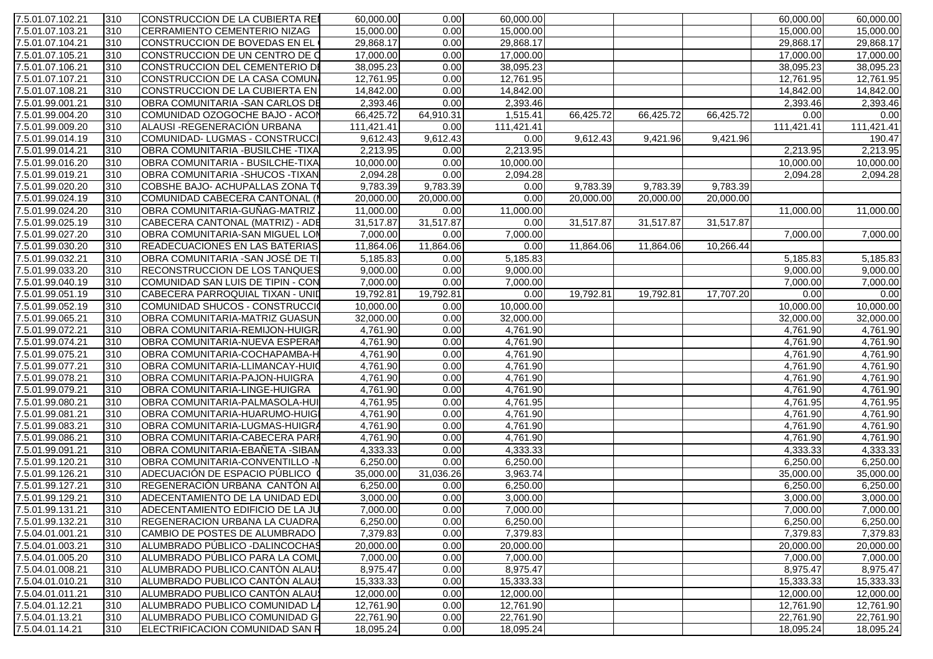| 7.5.01.07.102.21 | 310 | CONSTRUCCION DE LA CUBIERTA REI           | 60,000.00  | 0.00                   | 60,000.00  |           |           |           | 60,000.00  | 60,000.00  |
|------------------|-----|-------------------------------------------|------------|------------------------|------------|-----------|-----------|-----------|------------|------------|
| 7.5.01.07.103.21 | 310 | <b>CERRAMIENTO CEMENTERIO NIZAG</b>       | 15,000.00  | 0.00                   | 15,000.00  |           |           |           | 15,000.00  | 15,000.00  |
| 7.5.01.07.104.21 | 310 | CONSTRUCCION DE BOVEDAS EN EL             | 29,868.17  | 0.00                   | 29,868.17  |           |           |           | 29,868.17  | 29,868.17  |
| 7.5.01.07.105.21 | 310 | CONSTRUCCION DE UN CENTRO DE C            | 17,000.00  | 0.00                   | 17,000.00  |           |           |           | 17,000.00  | 17,000.00  |
| 7.5.01.07.106.21 | 310 | CONSTRUCCION DEL CEMENTERIO DI            | 38,095.23  | 0.00                   | 38,095.23  |           |           |           | 38,095.23  | 38,095.23  |
| 7.5.01.07.107.21 | 310 | CONSTRUCCION DE LA CASA COMUN             | 12,761.95  | 0.00                   | 12,761.95  |           |           |           | 12,761.95  | 12,761.95  |
| 7.5.01.07.108.21 | 310 | CONSTRUCCION DE LA CUBIERTA EN            | 14,842.00  | 0.00                   | 14,842.00  |           |           |           | 14,842.00  | 14,842.00  |
| 7.5.01.99.001.21 | 310 | OBRA COMUNITARIA - SAN CARLOS DE          | 2,393.46   | 0.00                   | 2,393.46   |           |           |           | 2,393.46   | 2,393.46   |
| 7.5.01.99.004.20 | 310 | COMUNIDAD OZOGOCHE BAJO - ACON            | 66,425.72  | 64,910.31              | 1,515.41   | 66,425.72 | 66,425.72 | 66,425.72 | 0.00       | 0.00       |
| 7.5.01.99.009.20 | 310 | ALAUSI-REGENERACIÓN URBANA                | 111,421.41 | 0.00                   | 111,421.41 |           |           |           | 111,421.41 | 111,421.41 |
| 7.5.01.99.014.19 | 310 | COMUNIDAD-LUGMAS - CONSTRUCCI             | 9,612.43   | 9,612.43               | 0.00       | 9,612.43  | 9,421.96  | 9,421.96  |            | 190.47     |
| 7.5.01.99.014.21 | 310 | <b>OBRA COMUNITARIA - BUSILCHE - TIXA</b> | 2,213.95   | 0.00                   | 2,213.95   |           |           |           | 2,213.95   | 2,213.95   |
| 7.5.01.99.016.20 | 310 | OBRA COMUNITARIA - BUSILCHE-TIXA          | 10,000.00  | 0.00                   | 10,000.00  |           |           |           | 10,000.00  | 10,000.00  |
| 7.5.01.99.019.21 | 310 | <b>OBRA COMUNITARIA - SHUCOS - TIXAN</b>  | 2,094.28   | 0.00                   | 2,094.28   |           |           |           | 2,094.28   | 2,094.28   |
| 7.5.01.99.020.20 | 310 | COBSHE BAJO- ACHUPALLAS ZONA TO           | 9,783.39   | 9,783.39               | 0.00       | 9,783.39  | 9,783.39  | 9,783.39  |            |            |
| 7.5.01.99.024.19 | 310 | COMUNIDAD CABECERA CANTONAL (             | 20,000.00  | 20,000.00              | 0.00       | 20,000.00 | 20,000.00 | 20,000.00 |            |            |
| 7.5.01.99.024.20 | 310 | OBRA COMUNITARIA-GUÑAG-MATRIZ             | 11,000.00  | 0.00                   | 11,000.00  |           |           |           | 11,000.00  | 11,000.00  |
| 7.5.01.99.025.19 | 310 | CABECERA CANTONAL (MATRIZ) - ADE          | 31,517.87  | 31,517.87              | 0.00       | 31,517.87 | 31,517.87 | 31,517.87 |            |            |
| 7.5.01.99.027.20 | 310 | <b>OBRA COMUNITARIA-SAN MIGUEL LON</b>    | 7,000.00   | 0.00                   | 7,000.00   |           |           |           | 7,000.00   | 7,000.00   |
| 7.5.01.99.030.20 | 310 | <b>READECUACIONES EN LAS BATERIAS</b>     | 11,864.06  | $11,864.\overline{06}$ | 0.00       | 11,864.06 | 11,864.06 | 10,266.44 |            |            |
| 7.5.01.99.032.21 | 310 | OBRA COMUNITARIA - SAN JOSÉ DE TI         | 5,185.83   | 0.00                   | 5,185.83   |           |           |           | 5,185.83   | 5,185.83   |
| 7.5.01.99.033.20 | 310 | <b>RECONSTRUCCION DE LOS TANQUES</b>      | 9,000.00   | 0.00                   | 9,000.00   |           |           |           | 9,000.00   | 9,000.00   |
| 7.5.01.99.040.19 | 310 | COMUNIDAD SAN LUIS DE TIPIN - CON         | 7,000.00   | 0.00                   | 7,000.00   |           |           |           | 7,000.00   | 7,000.00   |
| 7.5.01.99.051.19 | 310 | CABECERA PARROQUIAL TIXAN - UNID          | 19,792.81  | 19,792.81              | 0.00       | 19,792.81 | 19,792.81 | 17,707.20 | 0.00       | 0.00       |
| 7.5.01.99.052.19 | 310 | COMUNIDAD SHUCOS - CONSTRUCCIO            | 10,000.00  | 0.00                   | 10,000.00  |           |           |           | 10,000.00  | 10,000.00  |
| 7.5.01.99.065.21 | 310 | OBRA COMUNITARIA-MATRIZ GUASUN            | 32,000.00  | 0.00                   | 32,000.00  |           |           |           | 32,000.00  | 32,000.00  |
| 7.5.01.99.072.21 | 310 | OBRA COMUNITARIA-REMIJON-HUIGR            | 4,761.90   | 0.00                   | 4,761.90   |           |           |           | 4,761.90   | 4,761.90   |
| 7.5.01.99.074.21 | 310 | <b>OBRA COMUNITARIA-NUEVA ESPERAN</b>     | 4,761.90   | 0.00                   | 4,761.90   |           |           |           | 4,761.90   | 4,761.90   |
| 7.5.01.99.075.21 | 310 | OBRA COMUNITARIA-COCHAPAMBA-H             | 4,761.90   | 0.00                   | 4,761.90   |           |           |           | 4,761.90   | 4,761.90   |
| 7.5.01.99.077.21 | 310 | OBRA COMUNITARIA-LLIMANCAY-HUIC           | 4,761.90   | 0.00                   | 4,761.90   |           |           |           | 4,761.90   | 4,761.90   |
| 7.5.01.99.078.21 | 310 | OBRA COMUNITARIA-PAJON-HUIGRA             | 4,761.90   | 0.00                   | 4,761.90   |           |           |           | 4,761.90   | 4,761.90   |
| 7.5.01.99.079.21 | 310 | OBRA COMUNITARIA-LINGE-HUIGRA             | 4,761.90   | 0.00                   | 4,761.90   |           |           |           | 4,761.90   | 4,761.90   |
| 7.5.01.99.080.21 | 310 | OBRA COMUNITARIA-PALMASOLA-HUI            | 4,761.95   | 0.00                   | 4,761.95   |           |           |           | 4,761.95   | 4,761.95   |
| 7.5.01.99.081.21 | 310 | OBRA COMUNITARIA-HUARUMO-HUIGI            | 4,761.90   | 0.00                   | 4,761.90   |           |           |           | 4,761.90   | 4,761.90   |
| 7.5.01.99.083.21 | 310 | OBRA COMUNITARIA-LUGMAS-HUIGRA            | 4,761.90   | 0.00                   | 4,761.90   |           |           |           | 4,761.90   | 4,761.90   |
| 7.5.01.99.086.21 | 310 | OBRA COMUNITARIA-CABECERA PARI            | 4,761.90   | 0.00                   | 4,761.90   |           |           |           | 4,761.90   | 4,761.90   |
| 7.5.01.99.091.21 | 310 | OBRA COMUNITARIA-EBAÑETA -SIBAN           | 4,333.33   | 0.00                   | 4,333.33   |           |           |           | 4,333.33   | 4,333.33   |
| 7.5.01.99.120.21 | 310 | <b>OBRA COMUNITARIA-CONVENTILLO -N</b>    | 6,250.00   | 0.00                   | 6,250.00   |           |           |           | 6,250.00   | 6,250.00   |
| 7.5.01.99.126.21 | 310 | ADECUACIÓN DE ESPACIO PÚBLICO             | 35,000.00  | 31,036.26              | 3,963.74   |           |           |           | 35,000.00  | 35,000.00  |
| 7.5.01.99.127.21 | 310 | REGENERACIÓN URBANA CANTÓN AL             | 6,250.00   | 0.00                   | 6,250.00   |           |           |           | 6,250.00   | 6,250.00   |
| 7.5.01.99.129.21 | 310 | ADECENTAMIENTO DE LA UNIDAD EDI           | 3,000.00   | 0.00                   | 3,000.00   |           |           |           | 3,000.00   | 3,000.00   |
| 7.5.01.99.131.21 | 310 | ADECENTAMIENTO EDIFICIO DE LA JU          | 7,000.00   | 0.00                   | 7,000.00   |           |           |           | 7,000.00   | 7,000.00   |
| 7.5.01.99.132.21 | 310 | <b>REGENERACION URBANA LA CUADRA</b>      | 6,250.00   | 0.00                   | 6,250.00   |           |           |           | 6,250.00   | 6,250.00   |
| 7.5.04.01.001.21 | 310 | CAMBIO DE POSTES DE ALUMBRADO             | 7,379.83   | 0.00                   | 7,379.83   |           |           |           | 7,379.83   | 7,379.83   |
| 7.5.04.01.003.21 | 310 | ALUMBRADO PÚBLICO - DALINCOCHAS           | 20,000.00  | 0.00                   | 20,000.00  |           |           |           | 20,000.00  | 20,000.00  |
| 7.5.04.01.005.20 | 310 | ALUMBRADO PÚBLICO PARA LA COMU            | 7,000.00   | 0.00                   | 7,000.00   |           |           |           | 7,000.00   | 7,000.00   |
| 7.5.04.01.008.21 | 310 | ALUMBRADO PUBLICO.CANTÓN ALAUS            | 8,975.47   | 0.00                   | 8,975.47   |           |           |           | 8,975.47   | 8,975.47   |
| 7.5.04.01.010.21 | 310 | ALUMBRADO PUBLICO CANTÓN ALAUS            | 15,333.33  | 0.00                   | 15,333.33  |           |           |           | 15,333.33  | 15,333.33  |
| 7.5.04.01.011.21 | 310 | ALUMBRADO PUBLICO CANTÓN ALAUS            | 12,000.00  | 0.00                   | 12,000.00  |           |           |           | 12,000.00  | 12,000.00  |
| 7.5.04.01.12.21  | 310 | ALUMBRADO PUBLICO COMUNIDAD LA            | 12,761.90  | 0.00                   | 12,761.90  |           |           |           | 12,761.90  | 12,761.90  |
| 7.5.04.01.13.21  | 310 | ALUMBRADO PUBLICO COMUNIDAD G             | 22,761.90  | 0.00                   | 22,761.90  |           |           |           | 22,761.90  | 22,761.90  |
| 7.5.04.01.14.21  | 310 | ELECTRIFICACION COMUNIDAD SAN R           | 18,095.24  | 0.00                   | 18,095.24  |           |           |           | 18,095.24  | 18,095.24  |
|                  |     |                                           |            |                        |            |           |           |           |            |            |